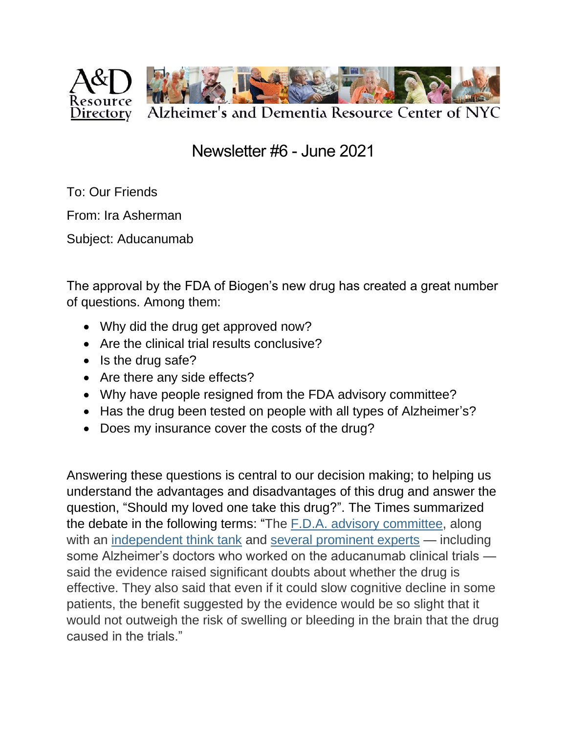

Newsletter #6 - June 2021

To: Our Friends

From: Ira Asherman

Subject: Aducanumab

The approval by the FDA of Biogen's new drug has created a great number of questions. Among them:

- Why did the drug get approved now?
- Are the clinical trial results conclusive?
- Is the drug safe?
- Are there any side effects?
- Why have people resigned from the FDA advisory committee?
- Has the drug been tested on people with all types of Alzheimer's?
- Does my insurance cover the costs of the drug?

Answering these questions is central to our decision making; to helping us understand the advantages and disadvantages of this drug and answer the question, "Should my loved one take this drug?". The Times summarized the debate in the following terms: "The F.D.A. advisory [committee,](https://www.nytimes.com/2020/11/06/health/aducanumab-alzheimers-drug-fda-panel.html) along with an [independent](https://icer.org/wp-content/uploads/2020/10/ICER_ALZ_Draft_Evidence_Report_050521.pdf) think tank and several [prominent](https://www.statnews.com/2021/05/30/if-the-fda-approves-biogens-alzheimers-treatment-i-wont-prescribe-it/) experts — including some Alzheimer's doctors who worked on the aducanumab clinical trials said the evidence raised significant doubts about whether the drug is effective. They also said that even if it could slow cognitive decline in some patients, the benefit suggested by the evidence would be so slight that it would not outweigh the risk of swelling or bleeding in the brain that the drug caused in the trials."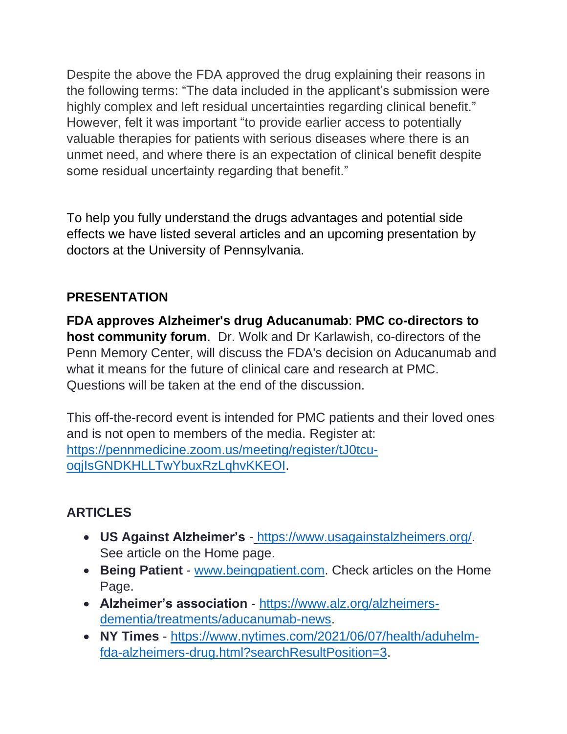Despite the above the FDA approved the drug explaining their reasons in the following terms: "The data included in the applicant's submission were highly complex and left residual uncertainties regarding clinical benefit." However, felt it was important "to provide earlier access to potentially valuable therapies for patients with serious diseases where there is an unmet need, and where there is an expectation of clinical benefit despite some residual uncertainty regarding that benefit."

To help you fully understand the drugs advantages and potential side effects we have listed several articles and an upcoming presentation by doctors at the University of Pennsylvania.

## **PRESENTATION**

**FDA approves Alzheimer's drug Aducanumab**: **PMC co-directors to host community forum**. Dr. Wolk and Dr Karlawish, co-directors of the Penn Memory Center, will discuss the FDA's decision on Aducanumab and what it means for the future of clinical care and research at PMC. Questions will be taken at the end of the discussion.

This off-the-record event is intended for PMC patients and their loved ones and is not open to members of the media. Register at: [https://pennmedicine.zoom.us/meeting/register/tJ0tcu](https://pennmedicine.zoom.us/meeting/register/tJ0tcu-oqjIsGNDKHLLTwYbuxRzLqhvKKEOI)[oqjIsGNDKHLLTwYbuxRzLqhvKKEOI.](https://pennmedicine.zoom.us/meeting/register/tJ0tcu-oqjIsGNDKHLLTwYbuxRzLqhvKKEOI)

## **ARTICLES**

- **US Against Alzheimer's** [https://www.usagainstalzheimers.org/.](https://www.usagainstalzheimers.org/) See article on the Home page.
- **Being Patient** [www.beingpatient.com.](http://www.beingpatient.com/) Check articles on the Home Page.
- **Alzheimer's association** [https://www.alz.org/alzheimers](https://www.alz.org/alzheimers-dementia/treatments/aducanumab-news)[dementia/treatments/aducanumab-news.](https://www.alz.org/alzheimers-dementia/treatments/aducanumab-news)
- **NY Times** [https://www.nytimes.com/2021/06/07/health/aduhelm](https://www.nytimes.com/2021/06/07/health/aduhelm-fda-alzheimers-drug.html?searchResultPosition=3)[fda-alzheimers-drug.html?searchResultPosition=3.](https://www.nytimes.com/2021/06/07/health/aduhelm-fda-alzheimers-drug.html?searchResultPosition=3)